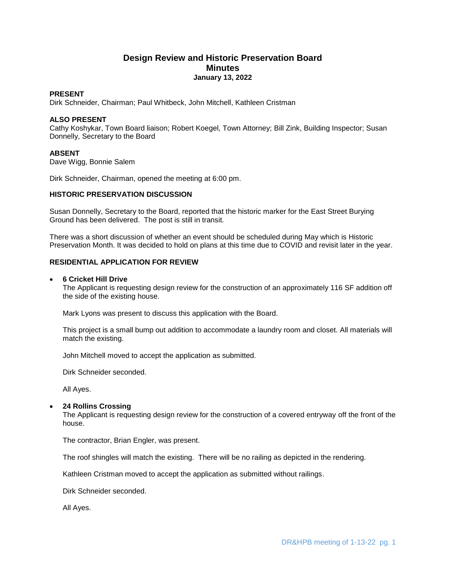# **Design Review and Historic Preservation Board Minutes January 13, 2022**

### **PRESENT**

Dirk Schneider, Chairman; Paul Whitbeck, John Mitchell, Kathleen Cristman

## **ALSO PRESENT**

Cathy Koshykar, Town Board liaison; Robert Koegel, Town Attorney; Bill Zink, Building Inspector; Susan Donnelly, Secretary to the Board

## **ABSENT**

Dave Wigg, Bonnie Salem

Dirk Schneider, Chairman, opened the meeting at 6:00 pm.

## **HISTORIC PRESERVATION DISCUSSION**

Susan Donnelly, Secretary to the Board, reported that the historic marker for the East Street Burying Ground has been delivered. The post is still in transit.

There was a short discussion of whether an event should be scheduled during May which is Historic Preservation Month. It was decided to hold on plans at this time due to COVID and revisit later in the year.

## **RESIDENTIAL APPLICATION FOR REVIEW**

### **6 Cricket Hill Drive**

The Applicant is requesting design review for the construction of an approximately 116 SF addition off the side of the existing house.

Mark Lyons was present to discuss this application with the Board.

This project is a small bump out addition to accommodate a laundry room and closet. All materials will match the existing.

John Mitchell moved to accept the application as submitted.

Dirk Schneider seconded.

All Ayes.

### **24 Rollins Crossing**

The Applicant is requesting design review for the construction of a covered entryway off the front of the house.

The contractor, Brian Engler, was present.

The roof shingles will match the existing. There will be no railing as depicted in the rendering.

Kathleen Cristman moved to accept the application as submitted without railings.

Dirk Schneider seconded.

All Ayes.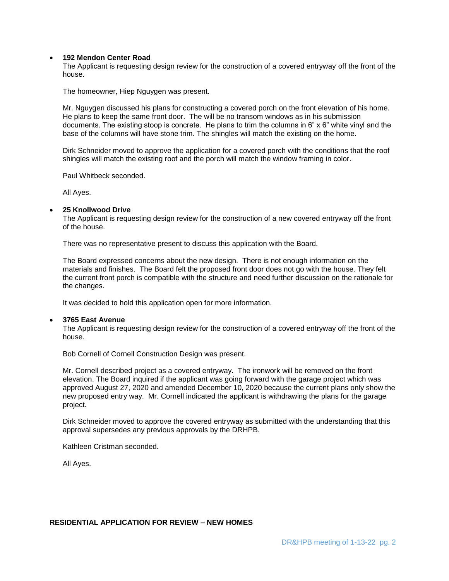## **192 Mendon Center Road**

The Applicant is requesting design review for the construction of a covered entryway off the front of the house.

The homeowner, Hiep Nguygen was present.

Mr. Nguygen discussed his plans for constructing a covered porch on the front elevation of his home. He plans to keep the same front door. The will be no transom windows as in his submission documents. The existing stoop is concrete. He plans to trim the columns in 6" x 6" white vinyl and the base of the columns will have stone trim. The shingles will match the existing on the home.

Dirk Schneider moved to approve the application for a covered porch with the conditions that the roof shingles will match the existing roof and the porch will match the window framing in color.

Paul Whitbeck seconded.

All Ayes.

#### **25 Knollwood Drive**

The Applicant is requesting design review for the construction of a new covered entryway off the front of the house.

There was no representative present to discuss this application with the Board.

The Board expressed concerns about the new design. There is not enough information on the materials and finishes. The Board felt the proposed front door does not go with the house. They felt the current front porch is compatible with the structure and need further discussion on the rationale for the changes.

It was decided to hold this application open for more information.

#### **3765 East Avenue**

The Applicant is requesting design review for the construction of a covered entryway off the front of the house.

Bob Cornell of Cornell Construction Design was present.

Mr. Cornell described project as a covered entryway. The ironwork will be removed on the front elevation. The Board inquired if the applicant was going forward with the garage project which was approved August 27, 2020 and amended December 10, 2020 because the current plans only show the new proposed entry way. Mr. Cornell indicated the applicant is withdrawing the plans for the garage project.

Dirk Schneider moved to approve the covered entryway as submitted with the understanding that this approval supersedes any previous approvals by the DRHPB.

Kathleen Cristman seconded.

All Ayes.

# **RESIDENTIAL APPLICATION FOR REVIEW – NEW HOMES**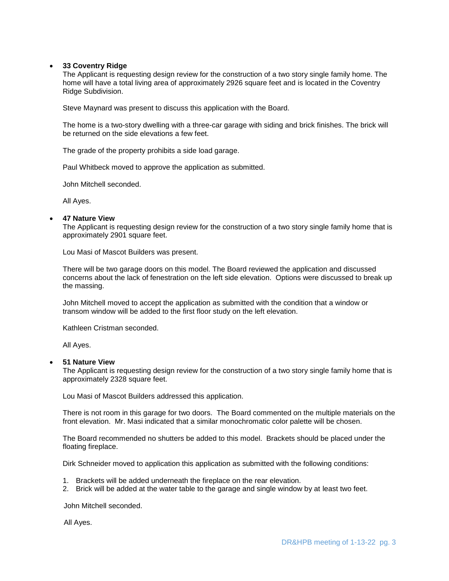### **33 Coventry Ridge**

The Applicant is requesting design review for the construction of a two story single family home. The home will have a total living area of approximately 2926 square feet and is located in the Coventry Ridge Subdivision.

Steve Maynard was present to discuss this application with the Board.

The home is a two-story dwelling with a three-car garage with siding and brick finishes. The brick will be returned on the side elevations a few feet.

The grade of the property prohibits a side load garage.

Paul Whitbeck moved to approve the application as submitted.

John Mitchell seconded.

All Ayes.

### **47 Nature View**

The Applicant is requesting design review for the construction of a two story single family home that is approximately 2901 square feet.

Lou Masi of Mascot Builders was present.

There will be two garage doors on this model. The Board reviewed the application and discussed concerns about the lack of fenestration on the left side elevation. Options were discussed to break up the massing.

John Mitchell moved to accept the application as submitted with the condition that a window or transom window will be added to the first floor study on the left elevation.

Kathleen Cristman seconded.

All Ayes.

### **51 Nature View**

The Applicant is requesting design review for the construction of a two story single family home that is approximately 2328 square feet.

Lou Masi of Mascot Builders addressed this application.

There is not room in this garage for two doors. The Board commented on the multiple materials on the front elevation. Mr. Masi indicated that a similar monochromatic color palette will be chosen.

The Board recommended no shutters be added to this model. Brackets should be placed under the floating fireplace.

Dirk Schneider moved to application this application as submitted with the following conditions:

- 1. Brackets will be added underneath the fireplace on the rear elevation.
- 2. Brick will be added at the water table to the garage and single window by at least two feet.

John Mitchell seconded.

All Ayes.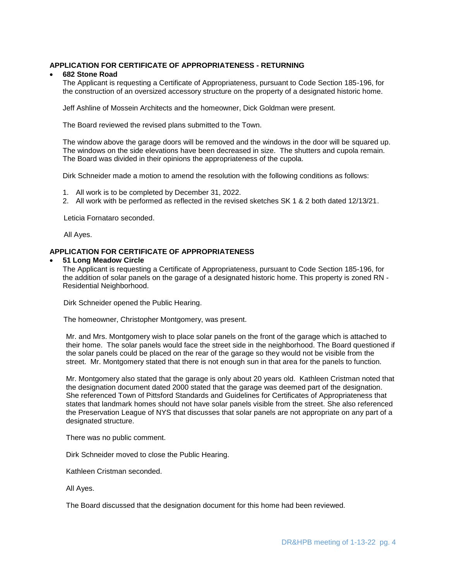## **APPLICATION FOR CERTIFICATE OF APPROPRIATENESS - RETURNING**

### **682 Stone Road**

The Applicant is requesting a Certificate of Appropriateness, pursuant to Code Section 185-196, for the construction of an oversized accessory structure on the property of a designated historic home.

Jeff Ashline of Mossein Architects and the homeowner, Dick Goldman were present.

The Board reviewed the revised plans submitted to the Town.

The window above the garage doors will be removed and the windows in the door will be squared up. The windows on the side elevations have been decreased in size. The shutters and cupola remain. The Board was divided in their opinions the appropriateness of the cupola.

Dirk Schneider made a motion to amend the resolution with the following conditions as follows:

- 1. All work is to be completed by December 31, 2022.
- 2. All work with be performed as reflected in the revised sketches SK 1 & 2 both dated 12/13/21.

Leticia Fornataro seconded.

All Ayes.

# **APPLICATION FOR CERTIFICATE OF APPROPRIATENESS**

#### **51 Long Meadow Circle**

The Applicant is requesting a Certificate of Appropriateness, pursuant to Code Section 185-196, for the addition of solar panels on the garage of a designated historic home. This property is zoned RN - Residential Neighborhood.

Dirk Schneider opened the Public Hearing.

The homeowner, Christopher Montgomery, was present.

Mr. and Mrs. Montgomery wish to place solar panels on the front of the garage which is attached to their home. The solar panels would face the street side in the neighborhood. The Board questioned if the solar panels could be placed on the rear of the garage so they would not be visible from the street. Mr. Montgomery stated that there is not enough sun in that area for the panels to function.

Mr. Montgomery also stated that the garage is only about 20 years old. Kathleen Cristman noted that the designation document dated 2000 stated that the garage was deemed part of the designation. She referenced Town of Pittsford Standards and Guidelines for Certificates of Appropriateness that states that landmark homes should not have solar panels visible from the street. She also referenced the Preservation League of NYS that discusses that solar panels are not appropriate on any part of a designated structure.

There was no public comment.

Dirk Schneider moved to close the Public Hearing.

Kathleen Cristman seconded.

All Ayes.

The Board discussed that the designation document for this home had been reviewed.